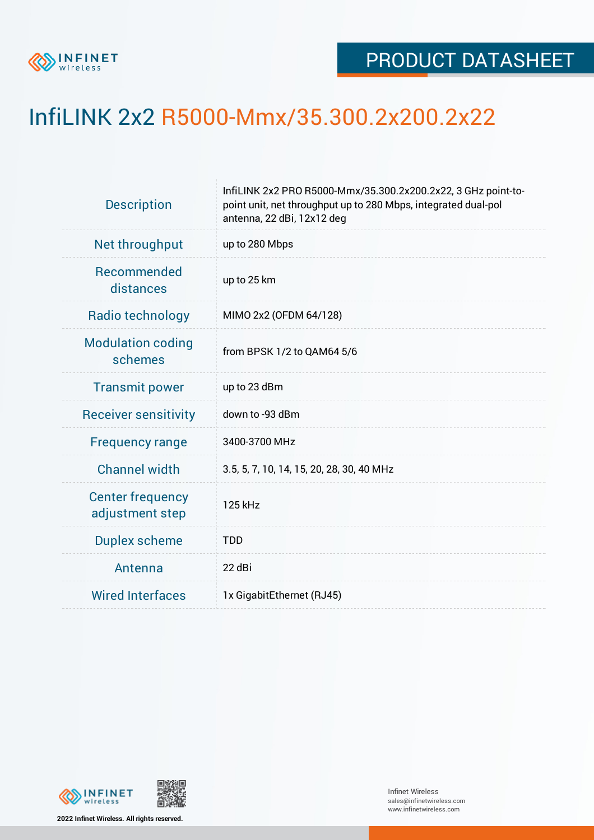

## InfiLINK 2x2 R5000-Mmx/35.300.2x200.2x22

| <b>Description</b>                         | InfiLINK 2x2 PRO R5000-Mmx/35.300.2x200.2x22, 3 GHz point-to-<br>point unit, net throughput up to 280 Mbps, integrated dual-pol<br>antenna, 22 dBi, 12x12 deg |  |  |  |
|--------------------------------------------|---------------------------------------------------------------------------------------------------------------------------------------------------------------|--|--|--|
| Net throughput                             | up to 280 Mbps                                                                                                                                                |  |  |  |
| Recommended<br>distances                   | up to 25 km                                                                                                                                                   |  |  |  |
| Radio technology                           | MIMO 2x2 (OFDM 64/128)                                                                                                                                        |  |  |  |
| <b>Modulation coding</b><br>schemes        | from BPSK 1/2 to QAM64 5/6                                                                                                                                    |  |  |  |
| <b>Transmit power</b>                      | up to 23 dBm                                                                                                                                                  |  |  |  |
| <b>Receiver sensitivity</b>                | down to -93 dBm                                                                                                                                               |  |  |  |
| <b>Frequency range</b>                     | 3400-3700 MHz                                                                                                                                                 |  |  |  |
| <b>Channel width</b>                       | 3.5, 5, 7, 10, 14, 15, 20, 28, 30, 40 MHz                                                                                                                     |  |  |  |
| <b>Center frequency</b><br>adjustment step | 125 kHz                                                                                                                                                       |  |  |  |
| <b>Duplex scheme</b>                       | <b>TDD</b>                                                                                                                                                    |  |  |  |
| Antenna                                    | 22 dBi                                                                                                                                                        |  |  |  |
| <b>Wired Interfaces</b>                    | 1x GigabitEthernet (RJ45)                                                                                                                                     |  |  |  |



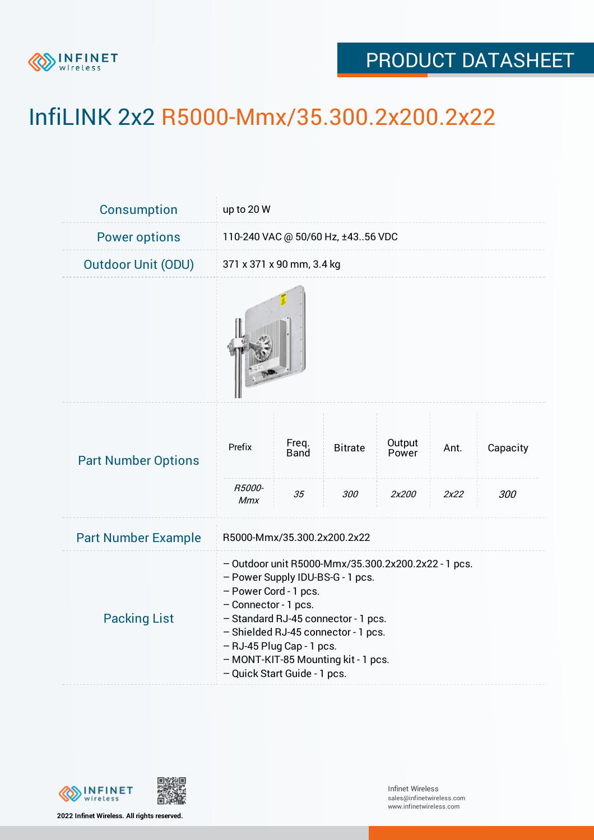

## PRODUCT DATASHEET

## InfiLINK 2x2 R5000-Mmx/35.300.2x200.2x22

| Consumption                | up to 20 W                                                                                                                                                                                                                                                                                                                 |                            |                       |                          |              |                 |  |
|----------------------------|----------------------------------------------------------------------------------------------------------------------------------------------------------------------------------------------------------------------------------------------------------------------------------------------------------------------------|----------------------------|-----------------------|--------------------------|--------------|-----------------|--|
| <b>Power options</b>       | 110-240 VAC @ 50/60 Hz, ±4356 VDC                                                                                                                                                                                                                                                                                          |                            |                       |                          |              |                 |  |
| <b>Outdoor Unit (ODU)</b>  | 371 x 371 x 90 mm, 3.4 kg                                                                                                                                                                                                                                                                                                  |                            |                       |                          |              |                 |  |
|                            |                                                                                                                                                                                                                                                                                                                            |                            |                       |                          |              |                 |  |
| <b>Part Number Options</b> | Prefix<br>R5000-<br><b>Mmx</b>                                                                                                                                                                                                                                                                                             | Freq.<br><b>Band</b><br>35 | <b>Bitrate</b><br>300 | Output<br>Power<br>2x200 | Ant.<br>2x22 | Capacity<br>300 |  |
| <b>Part Number Example</b> | R5000-Mmx/35.300.2x200.2x22                                                                                                                                                                                                                                                                                                |                            |                       |                          |              |                 |  |
| <b>Packing List</b>        | - Outdoor unit R5000-Mmx/35.300.2x200.2x22 - 1 pcs.<br>- Power Supply IDU-BS-G - 1 pcs.<br>- Power Cord - 1 pcs.<br>- Connector - 1 pcs.<br>- Standard RJ-45 connector - 1 pcs.<br>- Shielded RJ-45 connector - 1 pcs.<br>- RJ-45 Plug Cap - 1 pcs.<br>- MONT-KIT-85 Mounting kit - 1 pcs.<br>- Quick Start Guide - 1 pcs. |                            |                       |                          |              |                 |  |



**2022 Infinet Wireless. All rights reserved.**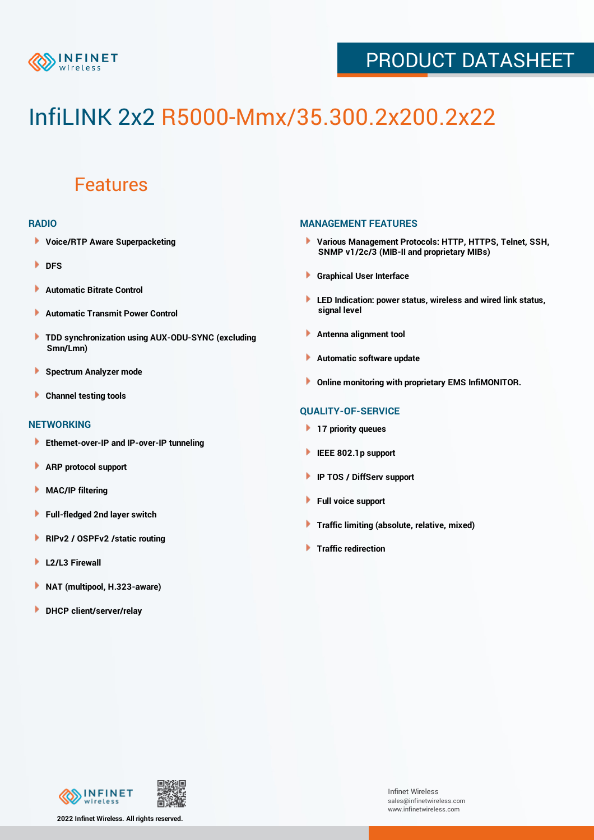

## PRODUCT DATASHEET

# InfiLINK 2x2 R5000-Mmx/35.300.2x200.2x22

### Features

#### **RADIO**

- **Voice/RTP Aware Superpacketing**
- **DFS**
- **Automatic Bitrate Control** Þ
- Þ **Automatic Transmit Power Control**
- ь **TDD synchronization using AUX-ODU-SYNC (excluding Smn/Lmn)**
- **Spectrum Analyzer mode** ۰
- **Channel testing tools** ١

#### **NETWORKING**

- **Ethernet-over-IP and IP-over-IP tunneling**
- **ARP protocol support** ٠
- ۱ **MAC/IP filtering**
- Þ **Full-fledged 2nd layer switch**
- Þ **RIPv2 / OSPFv2 /static routing**
- **L2/L3 Firewall** Þ
- **NAT (multipool, H.323-aware)** Þ
- Þ **DHCP client/server/relay**

#### **MANAGEMENT FEATURES**

- **Various Management Protocols: HTTP, HTTPS, Telnet, SSH, SNMP v1/2c/3 (MIB-II and proprietary MIBs)**
- **Graphical User Interface**
- **LED Indication: power status, wireless and wired link status, signal level**
- **Antenna alignment tool**
- ٠ **Automatic software update**
- **Online monitoring with proprietary EMS InfiMONITOR.**

#### **QUALITY-OF-SERVICE**

- **17 priority queues**
- **IEEE 802.1p support**
- **IP TOS / DiffServ support**
- ٠ **Full voice support**
- **Traffic limiting (absolute, relative, mixed)** ٠
- **Traffic redirection**